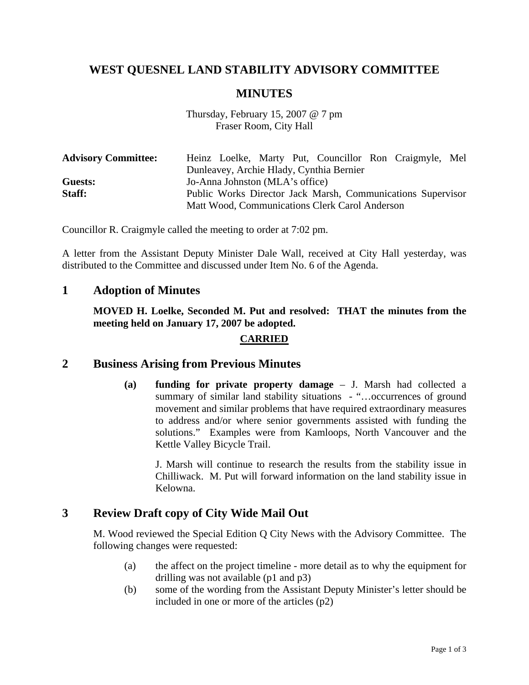# **WEST QUESNEL LAND STABILITY ADVISORY COMMITTEE**

## **MINUTES**

### Thursday, February 15, 2007 @ 7 pm Fraser Room, City Hall

| <b>Advisory Committee:</b> |                                                             |                                                |  |  |  |  | Heinz Loelke, Marty Put, Councillor Ron Craigmyle, Mel |  |  |
|----------------------------|-------------------------------------------------------------|------------------------------------------------|--|--|--|--|--------------------------------------------------------|--|--|
|                            | Dunleavey, Archie Hlady, Cynthia Bernier                    |                                                |  |  |  |  |                                                        |  |  |
| Guests:                    | Jo-Anna Johnston (MLA's office)                             |                                                |  |  |  |  |                                                        |  |  |
| Staff:                     | Public Works Director Jack Marsh, Communications Supervisor |                                                |  |  |  |  |                                                        |  |  |
|                            |                                                             | Matt Wood, Communications Clerk Carol Anderson |  |  |  |  |                                                        |  |  |

Councillor R. Craigmyle called the meeting to order at 7:02 pm.

A letter from the Assistant Deputy Minister Dale Wall, received at City Hall yesterday, was distributed to the Committee and discussed under Item No. 6 of the Agenda.

## **1 Adoption of Minutes**

**MOVED H. Loelke, Seconded M. Put and resolved: THAT the minutes from the meeting held on January 17, 2007 be adopted.** 

#### **CARRIED**

## **2 Business Arising from Previous Minutes**

**(a) funding for private property damage** – J. Marsh had collected a summary of similar land stability situations - "...occurrences of ground movement and similar problems that have required extraordinary measures to address and/or where senior governments assisted with funding the solutions." Examples were from Kamloops, North Vancouver and the Kettle Valley Bicycle Trail.

 J. Marsh will continue to research the results from the stability issue in Chilliwack. M. Put will forward information on the land stability issue in Kelowna.

## **3 Review Draft copy of City Wide Mail Out**

M. Wood reviewed the Special Edition Q City News with the Advisory Committee. The following changes were requested:

- (a) the affect on the project timeline more detail as to why the equipment for drilling was not available (p1 and p3)
- (b) some of the wording from the Assistant Deputy Minister's letter should be included in one or more of the articles (p2)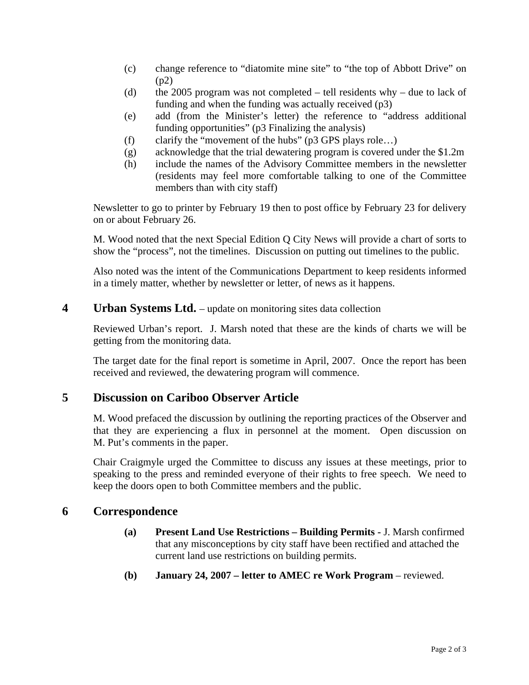- (c) change reference to "diatomite mine site" to "the top of Abbott Drive" on (p2)
- (d) the 2005 program was not completed  $-$  tell residents why  $-$  due to lack of funding and when the funding was actually received (p3)
- (e) add (from the Minister's letter) the reference to "address additional funding opportunities" (p3 Finalizing the analysis)
- (f) clarify the "movement of the hubs" (p3 GPS plays role…)
- (g) acknowledge that the trial dewatering program is covered under the \$1.2m
- (h) include the names of the Advisory Committee members in the newsletter (residents may feel more comfortable talking to one of the Committee members than with city staff)

Newsletter to go to printer by February 19 then to post office by February 23 for delivery on or about February 26.

M. Wood noted that the next Special Edition Q City News will provide a chart of sorts to show the "process", not the timelines. Discussion on putting out timelines to the public.

Also noted was the intent of the Communications Department to keep residents informed in a timely matter, whether by newsletter or letter, of news as it happens.

# **4** Urban Systems Ltd. – update on monitoring sites data collection

Reviewed Urban's report. J. Marsh noted that these are the kinds of charts we will be getting from the monitoring data.

The target date for the final report is sometime in April, 2007. Once the report has been received and reviewed, the dewatering program will commence.

# **5 Discussion on Cariboo Observer Article**

M. Wood prefaced the discussion by outlining the reporting practices of the Observer and that they are experiencing a flux in personnel at the moment. Open discussion on M. Put's comments in the paper.

Chair Craigmyle urged the Committee to discuss any issues at these meetings, prior to speaking to the press and reminded everyone of their rights to free speech. We need to keep the doors open to both Committee members and the public.

# **6 Correspondence**

- **(a) Present Land Use Restrictions Building Permits** J. Marsh confirmed that any misconceptions by city staff have been rectified and attached the current land use restrictions on building permits.
- **(b) January 24, 2007 letter to AMEC re Work Program** reviewed.